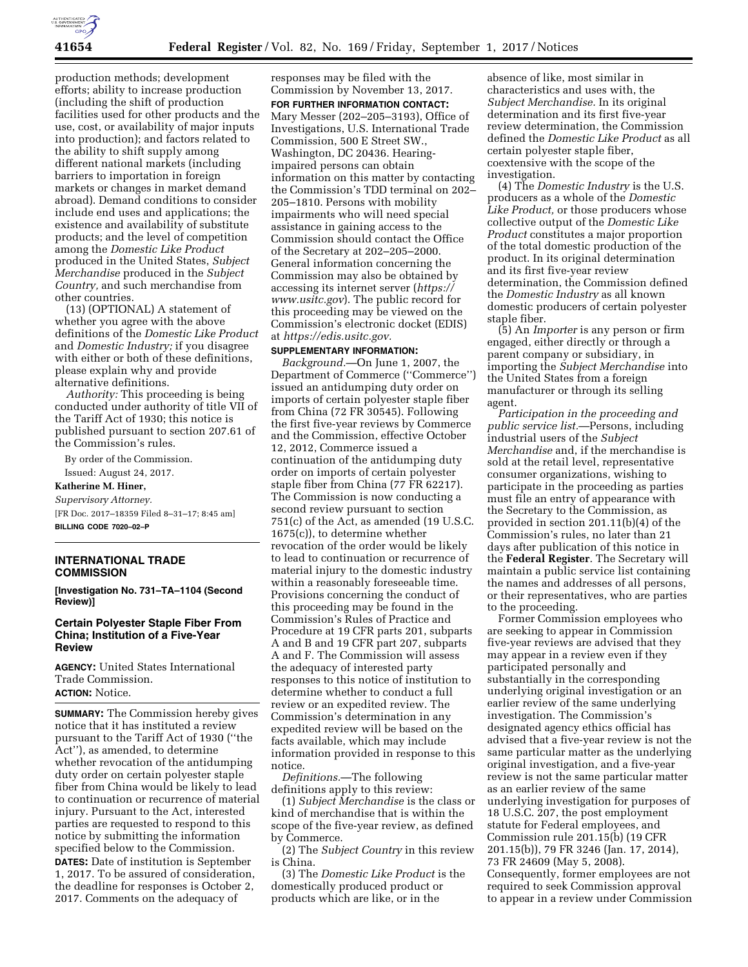

production methods; development efforts; ability to increase production (including the shift of production facilities used for other products and the use, cost, or availability of major inputs into production); and factors related to the ability to shift supply among different national markets (including barriers to importation in foreign markets or changes in market demand abroad). Demand conditions to consider include end uses and applications; the existence and availability of substitute products; and the level of competition among the *Domestic Like Product*  produced in the United States, *Subject Merchandise* produced in the *Subject Country,* and such merchandise from other countries.

(13) (OPTIONAL) A statement of whether you agree with the above definitions of the *Domestic Like Product*  and *Domestic Industry;* if you disagree with either or both of these definitions, please explain why and provide alternative definitions.

*Authority:* This proceeding is being conducted under authority of title VII of the Tariff Act of 1930; this notice is published pursuant to section 207.61 of the Commission's rules.

By order of the Commission.

Issued: August 24, 2017.

# **Katherine M. Hiner,**

*Supervisory Attorney.*  [FR Doc. 2017–18359 Filed 8–31–17; 8:45 am] **BILLING CODE 7020–02–P** 

## **INTERNATIONAL TRADE COMMISSION**

**[Investigation No. 731–TA–1104 (Second Review)]** 

## **Certain Polyester Staple Fiber From China; Institution of a Five-Year Review**

**AGENCY:** United States International Trade Commission. **ACTION:** Notice.

**SUMMARY:** The Commission hereby gives notice that it has instituted a review pursuant to the Tariff Act of 1930 (''the Act''), as amended, to determine whether revocation of the antidumping duty order on certain polyester staple fiber from China would be likely to lead to continuation or recurrence of material injury. Pursuant to the Act, interested parties are requested to respond to this notice by submitting the information specified below to the Commission. **DATES:** Date of institution is September 1, 2017. To be assured of consideration,

the deadline for responses is October 2, 2017. Comments on the adequacy of

responses may be filed with the Commission by November 13, 2017. **FOR FURTHER INFORMATION CONTACT:**  Mary Messer (202–205–3193), Office of Investigations, U.S. International Trade Commission, 500 E Street SW., Washington, DC 20436. Hearingimpaired persons can obtain information on this matter by contacting the Commission's TDD terminal on 202– 205–1810. Persons with mobility impairments who will need special assistance in gaining access to the Commission should contact the Office of the Secretary at 202–205–2000. General information concerning the Commission may also be obtained by accessing its internet server (*[https://](https://www.usitc.gov) [www.usitc.gov](https://www.usitc.gov)*). The public record for this proceeding may be viewed on the Commission's electronic docket (EDIS) at *[https://edis.usitc.gov.](https://edis.usitc.gov)* 

#### **SUPPLEMENTARY INFORMATION:**

*Background.*—On June 1, 2007, the Department of Commerce (''Commerce'') issued an antidumping duty order on imports of certain polyester staple fiber from China (72 FR 30545). Following the first five-year reviews by Commerce and the Commission, effective October 12, 2012, Commerce issued a continuation of the antidumping duty order on imports of certain polyester staple fiber from China (77 FR 62217). The Commission is now conducting a second review pursuant to section 751(c) of the Act, as amended (19 U.S.C. 1675(c)), to determine whether revocation of the order would be likely to lead to continuation or recurrence of material injury to the domestic industry within a reasonably foreseeable time. Provisions concerning the conduct of this proceeding may be found in the Commission's Rules of Practice and Procedure at 19 CFR parts 201, subparts A and B and 19 CFR part 207, subparts A and F. The Commission will assess the adequacy of interested party responses to this notice of institution to determine whether to conduct a full review or an expedited review. The Commission's determination in any expedited review will be based on the facts available, which may include information provided in response to this notice.

*Definitions.*—The following definitions apply to this review:

(1) *Subject Merchandise* is the class or kind of merchandise that is within the scope of the five-year review, as defined by Commerce.

(2) The *Subject Country* in this review is China.

(3) The *Domestic Like Product* is the domestically produced product or products which are like, or in the

absence of like, most similar in characteristics and uses with, the *Subject Merchandise.* In its original determination and its first five-year review determination, the Commission defined the *Domestic Like Product* as all certain polyester staple fiber, coextensive with the scope of the investigation.

(4) The *Domestic Industry* is the U.S. producers as a whole of the *Domestic Like Product,* or those producers whose collective output of the *Domestic Like Product* constitutes a major proportion of the total domestic production of the product. In its original determination and its first five-year review determination, the Commission defined the *Domestic Industry* as all known domestic producers of certain polyester staple fiber.

(5) An *Importer* is any person or firm engaged, either directly or through a parent company or subsidiary, in importing the *Subject Merchandise* into the United States from a foreign manufacturer or through its selling agent.

*Participation in the proceeding and public service list.*—Persons, including industrial users of the *Subject Merchandise* and, if the merchandise is sold at the retail level, representative consumer organizations, wishing to participate in the proceeding as parties must file an entry of appearance with the Secretary to the Commission, as provided in section 201.11(b)(4) of the Commission's rules, no later than 21 days after publication of this notice in the **Federal Register**. The Secretary will maintain a public service list containing the names and addresses of all persons, or their representatives, who are parties to the proceeding.

Former Commission employees who are seeking to appear in Commission five-year reviews are advised that they may appear in a review even if they participated personally and substantially in the corresponding underlying original investigation or an earlier review of the same underlying investigation. The Commission's designated agency ethics official has advised that a five-year review is not the same particular matter as the underlying original investigation, and a five-year review is not the same particular matter as an earlier review of the same underlying investigation for purposes of 18 U.S.C. 207, the post employment statute for Federal employees, and Commission rule 201.15(b) (19 CFR 201.15(b)), 79 FR 3246 (Jan. 17, 2014), 73 FR 24609 (May 5, 2008). Consequently, former employees are not required to seek Commission approval to appear in a review under Commission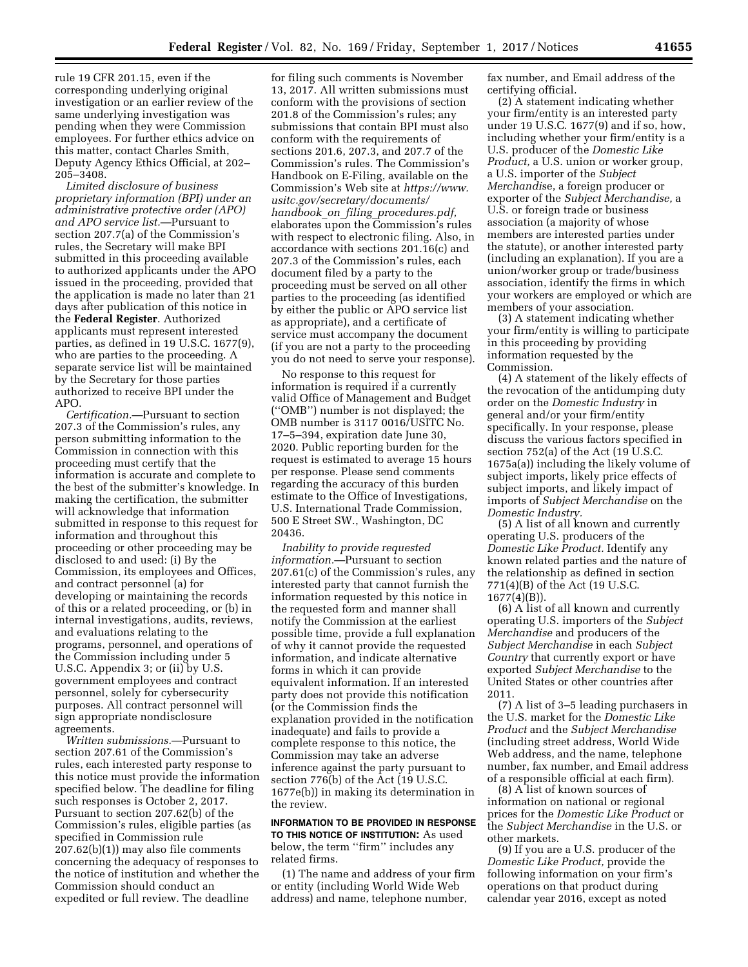rule 19 CFR 201.15, even if the corresponding underlying original investigation or an earlier review of the same underlying investigation was pending when they were Commission employees. For further ethics advice on this matter, contact Charles Smith, Deputy Agency Ethics Official, at 202– 205–3408.

*Limited disclosure of business proprietary information (BPI) under an administrative protective order (APO) and APO service list.*—Pursuant to section 207.7(a) of the Commission's rules, the Secretary will make BPI submitted in this proceeding available to authorized applicants under the APO issued in the proceeding, provided that the application is made no later than 21 days after publication of this notice in the **Federal Register**. Authorized applicants must represent interested parties, as defined in 19 U.S.C. 1677(9), who are parties to the proceeding. A separate service list will be maintained by the Secretary for those parties authorized to receive BPI under the APO.

*Certification.*—Pursuant to section 207.3 of the Commission's rules, any person submitting information to the Commission in connection with this proceeding must certify that the information is accurate and complete to the best of the submitter's knowledge. In making the certification, the submitter will acknowledge that information submitted in response to this request for information and throughout this proceeding or other proceeding may be disclosed to and used: (i) By the Commission, its employees and Offices, and contract personnel (a) for developing or maintaining the records of this or a related proceeding, or (b) in internal investigations, audits, reviews, and evaluations relating to the programs, personnel, and operations of the Commission including under 5 U.S.C. Appendix 3; or (ii) by U.S. government employees and contract personnel, solely for cybersecurity purposes. All contract personnel will sign appropriate nondisclosure agreements.

*Written submissions.*—Pursuant to section 207.61 of the Commission's rules, each interested party response to this notice must provide the information specified below. The deadline for filing such responses is October 2, 2017. Pursuant to section 207.62(b) of the Commission's rules, eligible parties (as specified in Commission rule 207.62(b)(1)) may also file comments concerning the adequacy of responses to the notice of institution and whether the Commission should conduct an expedited or full review. The deadline

for filing such comments is November 13, 2017. All written submissions must conform with the provisions of section 201.8 of the Commission's rules; any submissions that contain BPI must also conform with the requirements of sections 201.6, 207.3, and 207.7 of the Commission's rules. The Commission's Handbook on E-Filing, available on the Commission's Web site at *[https://www.](https://www.usitc.gov/secretary/documents/handbook_on_filing_procedures.pdf) [usitc.gov/secretary/documents/](https://www.usitc.gov/secretary/documents/handbook_on_filing_procedures.pdf)  handbook*\_*on*\_*filing*\_*[procedures.pdf,](https://www.usitc.gov/secretary/documents/handbook_on_filing_procedures.pdf)*  elaborates upon the Commission's rules with respect to electronic filing. Also, in accordance with sections 201.16(c) and 207.3 of the Commission's rules, each document filed by a party to the proceeding must be served on all other parties to the proceeding (as identified by either the public or APO service list as appropriate), and a certificate of service must accompany the document (if you are not a party to the proceeding you do not need to serve your response).

No response to this request for information is required if a currently valid Office of Management and Budget (''OMB'') number is not displayed; the OMB number is 3117 0016/USITC No. 17–5–394, expiration date June 30, 2020. Public reporting burden for the request is estimated to average 15 hours per response. Please send comments regarding the accuracy of this burden estimate to the Office of Investigations, U.S. International Trade Commission, 500 E Street SW., Washington, DC 20436.

*Inability to provide requested information.*—Pursuant to section 207.61(c) of the Commission's rules, any interested party that cannot furnish the information requested by this notice in the requested form and manner shall notify the Commission at the earliest possible time, provide a full explanation of why it cannot provide the requested information, and indicate alternative forms in which it can provide equivalent information. If an interested party does not provide this notification (or the Commission finds the explanation provided in the notification inadequate) and fails to provide a complete response to this notice, the Commission may take an adverse inference against the party pursuant to section 776(b) of the Act (19 U.S.C. 1677e(b)) in making its determination in the review.

## **INFORMATION TO BE PROVIDED IN RESPONSE TO THIS NOTICE OF INSTITUTION:** As used below, the term ''firm'' includes any related firms.

(1) The name and address of your firm or entity (including World Wide Web address) and name, telephone number,

fax number, and Email address of the certifying official.

(2) A statement indicating whether your firm/entity is an interested party under 19 U.S.C. 1677(9) and if so, how, including whether your firm/entity is a U.S. producer of the *Domestic Like Product,* a U.S. union or worker group, a U.S. importer of the *Subject Merchandi*se, a foreign producer or exporter of the *Subject Merchandise,* a U.S. or foreign trade or business association (a majority of whose members are interested parties under the statute), or another interested party (including an explanation). If you are a union/worker group or trade/business association, identify the firms in which your workers are employed or which are members of your association.

(3) A statement indicating whether your firm/entity is willing to participate in this proceeding by providing information requested by the Commission.

(4) A statement of the likely effects of the revocation of the antidumping duty order on the *Domestic Industry* in general and/or your firm/entity specifically. In your response, please discuss the various factors specified in section 752(a) of the Act (19 U.S.C. 1675a(a)) including the likely volume of subject imports, likely price effects of subject imports, and likely impact of imports of *Subject Merchandise* on the *Domestic Industry.* 

(5) A list of all known and currently operating U.S. producers of the *Domestic Like Product.* Identify any known related parties and the nature of the relationship as defined in section 771(4)(B) of the Act (19 U.S.C. 1677(4)(B)).

(6) A list of all known and currently operating U.S. importers of the *Subject Merchandise* and producers of the *Subject Merchandise* in each *Subject Country* that currently export or have exported *Subject Merchandise* to the United States or other countries after 2011.

(7) A list of 3–5 leading purchasers in the U.S. market for the *Domestic Like Product* and the *Subject Merchandise*  (including street address, World Wide Web address, and the name, telephone number, fax number, and Email address of a responsible official at each firm).

(8) A list of known sources of information on national or regional prices for the *Domestic Like Product* or the *Subject Merchandise* in the U.S. or other markets.

(9) If you are a U.S. producer of the *Domestic Like Product,* provide the following information on your firm's operations on that product during calendar year 2016, except as noted